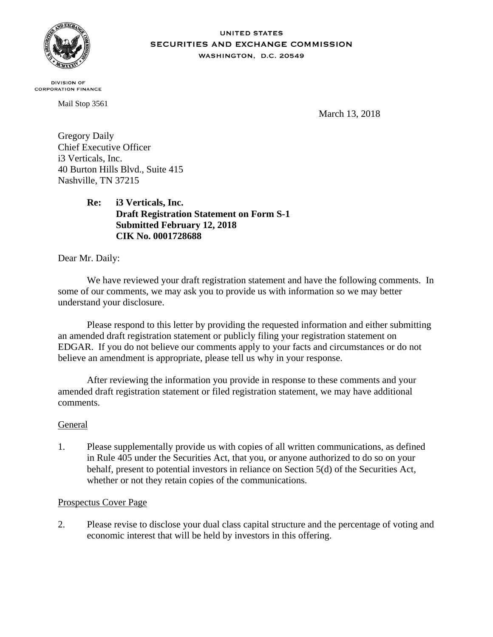

#### **UNITED STATES** SECURITIES AND EXCHANGE COMMISSION WASHINGTON, D.C. 20549

**DIVISION OF CORPORATION FINANCE** 

Mail Stop 3561

March 13, 2018

Gregory Daily Chief Executive Officer i3 Verticals, Inc. 40 Burton Hills Blvd., Suite 415 Nashville, TN 37215

> **Re: i3 Verticals, Inc. Draft Registration Statement on Form S-1 Submitted February 12, 2018 CIK No. 0001728688**

Dear Mr. Daily:

We have reviewed your draft registration statement and have the following comments. In some of our comments, we may ask you to provide us with information so we may better understand your disclosure.

Please respond to this letter by providing the requested information and either submitting an amended draft registration statement or publicly filing your registration statement on EDGAR. If you do not believe our comments apply to your facts and circumstances or do not believe an amendment is appropriate, please tell us why in your response.

After reviewing the information you provide in response to these comments and your amended draft registration statement or filed registration statement, we may have additional comments.

# General

1. Please supplementally provide us with copies of all written communications, as defined in Rule 405 under the Securities Act, that you, or anyone authorized to do so on your behalf, present to potential investors in reliance on Section 5(d) of the Securities Act, whether or not they retain copies of the communications.

#### Prospectus Cover Page

2. Please revise to disclose your dual class capital structure and the percentage of voting and economic interest that will be held by investors in this offering.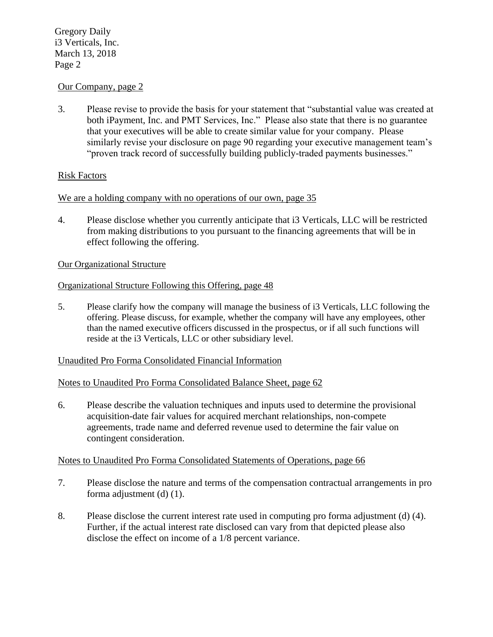#### Our Company, page 2

3. Please revise to provide the basis for your statement that "substantial value was created at both iPayment, Inc. and PMT Services, Inc." Please also state that there is no guarantee that your executives will be able to create similar value for your company. Please similarly revise your disclosure on page 90 regarding your executive management team's "proven track record of successfully building publicly-traded payments businesses."

#### Risk Factors

### We are a holding company with no operations of our own, page 35

4. Please disclose whether you currently anticipate that i3 Verticals, LLC will be restricted from making distributions to you pursuant to the financing agreements that will be in effect following the offering.

#### Our Organizational Structure

#### Organizational Structure Following this Offering, page 48

5. Please clarify how the company will manage the business of i3 Verticals, LLC following the offering. Please discuss, for example, whether the company will have any employees, other than the named executive officers discussed in the prospectus, or if all such functions will reside at the i3 Verticals, LLC or other subsidiary level.

#### Unaudited Pro Forma Consolidated Financial Information

#### Notes to Unaudited Pro Forma Consolidated Balance Sheet, page 62

6. Please describe the valuation techniques and inputs used to determine the provisional acquisition-date fair values for acquired merchant relationships, non-compete agreements, trade name and deferred revenue used to determine the fair value on contingent consideration.

#### Notes to Unaudited Pro Forma Consolidated Statements of Operations, page 66

- 7. Please disclose the nature and terms of the compensation contractual arrangements in pro forma adjustment (d) (1).
- 8. Please disclose the current interest rate used in computing pro forma adjustment (d) (4). Further, if the actual interest rate disclosed can vary from that depicted please also disclose the effect on income of a 1/8 percent variance.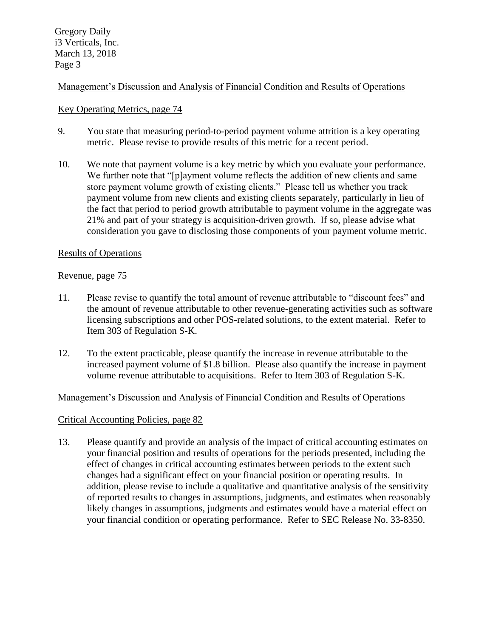## Management's Discussion and Analysis of Financial Condition and Results of Operations

### Key Operating Metrics, page 74

- 9. You state that measuring period-to-period payment volume attrition is a key operating metric. Please revise to provide results of this metric for a recent period.
- 10. We note that payment volume is a key metric by which you evaluate your performance. We further note that "[p]ayment volume reflects the addition of new clients and same store payment volume growth of existing clients." Please tell us whether you track payment volume from new clients and existing clients separately, particularly in lieu of the fact that period to period growth attributable to payment volume in the aggregate was 21% and part of your strategy is acquisition-driven growth. If so, please advise what consideration you gave to disclosing those components of your payment volume metric.

#### Results of Operations

#### Revenue, page 75

- 11. Please revise to quantify the total amount of revenue attributable to "discount fees" and the amount of revenue attributable to other revenue-generating activities such as software licensing subscriptions and other POS-related solutions, to the extent material. Refer to Item 303 of Regulation S-K.
- 12. To the extent practicable, please quantify the increase in revenue attributable to the increased payment volume of \$1.8 billion. Please also quantify the increase in payment volume revenue attributable to acquisitions. Refer to Item 303 of Regulation S-K.

#### Management's Discussion and Analysis of Financial Condition and Results of Operations

#### Critical Accounting Policies, page 82

13. Please quantify and provide an analysis of the impact of critical accounting estimates on your financial position and results of operations for the periods presented, including the effect of changes in critical accounting estimates between periods to the extent such changes had a significant effect on your financial position or operating results. In addition, please revise to include a qualitative and quantitative analysis of the sensitivity of reported results to changes in assumptions, judgments, and estimates when reasonably likely changes in assumptions, judgments and estimates would have a material effect on your financial condition or operating performance. Refer to SEC Release No. 33-8350.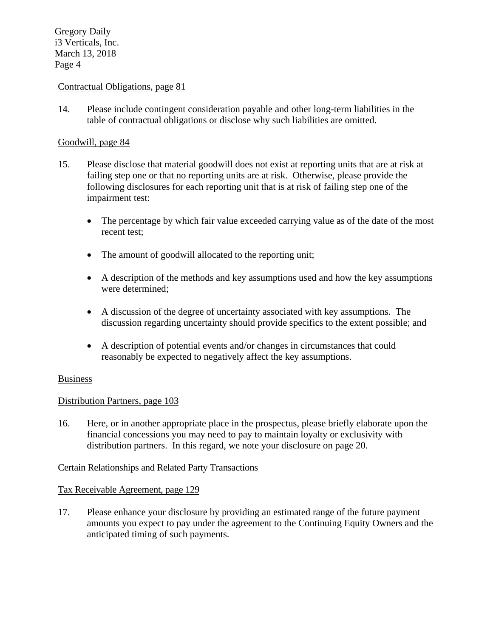### Contractual Obligations, page 81

14. Please include contingent consideration payable and other long-term liabilities in the table of contractual obligations or disclose why such liabilities are omitted.

### Goodwill, page 84

- 15. Please disclose that material goodwill does not exist at reporting units that are at risk at failing step one or that no reporting units are at risk. Otherwise, please provide the following disclosures for each reporting unit that is at risk of failing step one of the impairment test:
	- The percentage by which fair value exceeded carrying value as of the date of the most recent test;
	- The amount of goodwill allocated to the reporting unit;
	- A description of the methods and key assumptions used and how the key assumptions were determined;
	- A discussion of the degree of uncertainty associated with key assumptions. The discussion regarding uncertainty should provide specifics to the extent possible; and
	- A description of potential events and/or changes in circumstances that could reasonably be expected to negatively affect the key assumptions.

#### Business

#### Distribution Partners, page 103

16. Here, or in another appropriate place in the prospectus, please briefly elaborate upon the financial concessions you may need to pay to maintain loyalty or exclusivity with distribution partners. In this regard, we note your disclosure on page 20.

#### Certain Relationships and Related Party Transactions

#### Tax Receivable Agreement, page 129

17. Please enhance your disclosure by providing an estimated range of the future payment amounts you expect to pay under the agreement to the Continuing Equity Owners and the anticipated timing of such payments.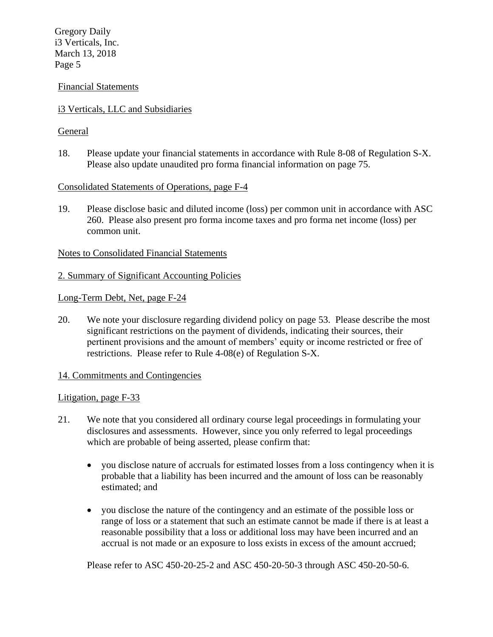#### Financial Statements

### i3 Verticals, LLC and Subsidiaries

### **General**

18. Please update your financial statements in accordance with Rule 8-08 of Regulation S-X. Please also update unaudited pro forma financial information on page 75.

#### Consolidated Statements of Operations, page F-4

19. Please disclose basic and diluted income (loss) per common unit in accordance with ASC 260. Please also present pro forma income taxes and pro forma net income (loss) per common unit.

#### Notes to Consolidated Financial Statements

#### 2. Summary of Significant Accounting Policies

Long-Term Debt, Net, page F-24

20. We note your disclosure regarding dividend policy on page 53. Please describe the most significant restrictions on the payment of dividends, indicating their sources, their pertinent provisions and the amount of members' equity or income restricted or free of restrictions. Please refer to Rule 4-08(e) of Regulation S-X.

#### 14. Commitments and Contingencies

#### Litigation, page F-33

- 21. We note that you considered all ordinary course legal proceedings in formulating your disclosures and assessments. However, since you only referred to legal proceedings which are probable of being asserted, please confirm that:
	- you disclose nature of accruals for estimated losses from a loss contingency when it is probable that a liability has been incurred and the amount of loss can be reasonably estimated; and
	- you disclose the nature of the contingency and an estimate of the possible loss or range of loss or a statement that such an estimate cannot be made if there is at least a reasonable possibility that a loss or additional loss may have been incurred and an accrual is not made or an exposure to loss exists in excess of the amount accrued;

Please refer to ASC 450-20-25-2 and ASC 450-20-50-3 through ASC 450-20-50-6.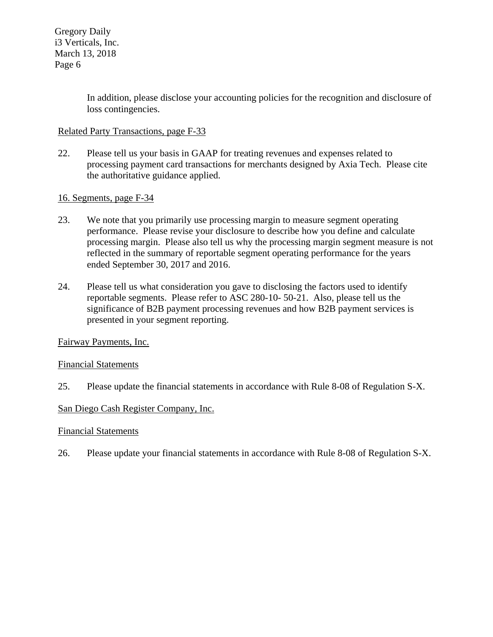In addition, please disclose your accounting policies for the recognition and disclosure of loss contingencies.

## Related Party Transactions, page F-33

22. Please tell us your basis in GAAP for treating revenues and expenses related to processing payment card transactions for merchants designed by Axia Tech. Please cite the authoritative guidance applied.

### 16. Segments, page F-34

- 23. We note that you primarily use processing margin to measure segment operating performance. Please revise your disclosure to describe how you define and calculate processing margin. Please also tell us why the processing margin segment measure is not reflected in the summary of reportable segment operating performance for the years ended September 30, 2017 and 2016.
- 24. Please tell us what consideration you gave to disclosing the factors used to identify reportable segments. Please refer to ASC 280-10- 50-21. Also, please tell us the significance of B2B payment processing revenues and how B2B payment services is presented in your segment reporting.

#### Fairway Payments, Inc.

#### Financial Statements

25. Please update the financial statements in accordance with Rule 8-08 of Regulation S-X.

#### San Diego Cash Register Company, Inc.

#### Financial Statements

26. Please update your financial statements in accordance with Rule 8-08 of Regulation S-X.